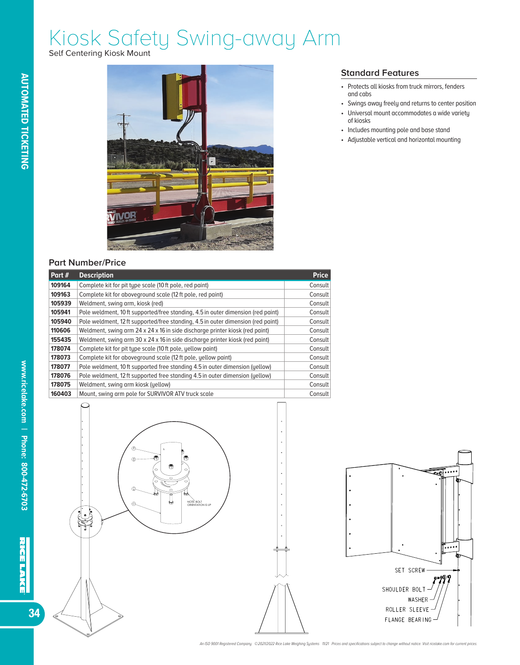# Kiosk Safety Swing-away Arm

Self Centering Kiosk Mount



### **Part Number/Price**

| Part#  | <b>Description</b>                                                               | <b>Price</b> |
|--------|----------------------------------------------------------------------------------|--------------|
| 109164 | Complete kit for pit type scale (10 ft pole, red paint)                          | Consult      |
| 109163 | Complete kit for aboveground scale (12 ft pole, red paint)                       | Consult      |
| 105939 | Weldment, swing arm, kiosk (red)                                                 | Consult      |
| 105941 | Pole weldment, 10 ft supported/free standing, 4.5 in outer dimension (red paint) | Consult      |
| 105940 | Pole weldment, 12 ft supported/free standing, 4.5 in outer dimension (red paint) | Consult      |
| 110606 | Weldment, swing arm 24 x 24 x 16 in side discharge printer kiosk (red paint)     | Consult      |
| 155435 | Weldment, swing arm 30 x 24 x 16 in side discharge printer kiosk (red paint)     | Consult      |
| 178074 | Complete kit for pit type scale (10 ft pole, yellow paint)                       | Consult      |
| 178073 | Complete kit for aboveground scale (12 ft pole, yellow paint)                    | Consult      |
| 178077 | Pole weldment, 10 ft supported free standing 4.5 in outer dimension (yellow)     | Consult      |
| 178076 | Pole weldment, 12 ft supported free standing 4.5 in outer dimension (yellow)     | Consult      |
| 178075 | Weldment, swing arm kiosk (yellow)                                               | Consult      |
| 160403 | Mount, swing arm pole for SURVIVOR ATV truck scale                               | Consult      |



### $\overline{\bullet}$  ....  $\mathbf{I}$ —<br>|••••• SET SCREW SHOULDER BOLT WASHER ROLLER SLEEVE FLANGE BEARING

#### **Standard Features**

- Protects all kiosks from truck mirrors, fenders and cabs
- Swings away freely and returns to center position
- Universal mount accommodates a wide variety of kiosks
- Includes mounting pole and base stand
- Adjustable vertical and horizontal mounting

NOTE: BOLT ORIENTATION IS UP

 $\ddot{\phantom{0}}$ 

 $\ddot{\phantom{0}}$ 

 $\ddot{\phantom{a}}$ 

 $\ddot{\phantom{0}}$ 

34